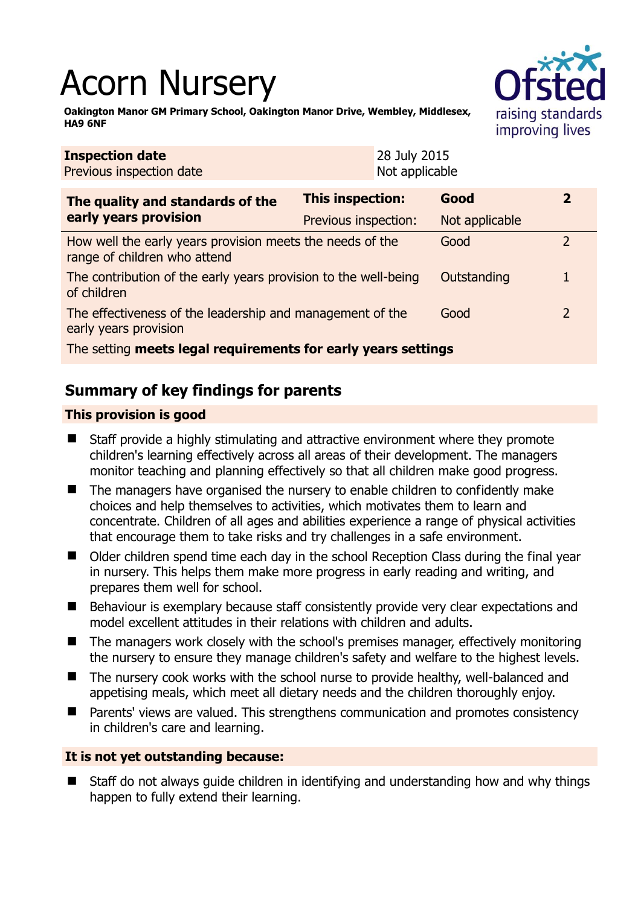# Acorn Nursery



**Oakington Manor GM Primary School, Oakington Manor Drive, Wembley, Middlesex, HA9 6NF** 

| <b>Inspection date</b><br>Previous inspection date                                        |                      | 28 July 2015<br>Not applicable |                |               |  |
|-------------------------------------------------------------------------------------------|----------------------|--------------------------------|----------------|---------------|--|
| The quality and standards of the<br>early years provision                                 | This inspection:     |                                | Good           | 2             |  |
|                                                                                           | Previous inspection: |                                | Not applicable |               |  |
| How well the early years provision meets the needs of the<br>range of children who attend |                      |                                | Good           | $\mathcal{P}$ |  |
| The contribution of the early years provision to the well-being<br>of children            |                      |                                | Outstanding    |               |  |
| The effectiveness of the leadership and management of the<br>early years provision        |                      |                                | Good           | $\mathcal{L}$ |  |
| The setting meets legal requirements for early years settings                             |                      |                                |                |               |  |

# **Summary of key findings for parents**

## **This provision is good**

- Staff provide a highly stimulating and attractive environment where they promote children's learning effectively across all areas of their development. The managers monitor teaching and planning effectively so that all children make good progress.
- The managers have organised the nursery to enable children to confidently make choices and help themselves to activities, which motivates them to learn and concentrate. Children of all ages and abilities experience a range of physical activities that encourage them to take risks and try challenges in a safe environment.
- Older children spend time each day in the school Reception Class during the final year in nursery. This helps them make more progress in early reading and writing, and prepares them well for school.
- Behaviour is exemplary because staff consistently provide very clear expectations and model excellent attitudes in their relations with children and adults.
- The managers work closely with the school's premises manager, effectively monitoring the nursery to ensure they manage children's safety and welfare to the highest levels.
- The nursery cook works with the school nurse to provide healthy, well-balanced and appetising meals, which meet all dietary needs and the children thoroughly enjoy.
- Parents' views are valued. This strengthens communication and promotes consistency in children's care and learning.

### **It is not yet outstanding because:**

 Staff do not always guide children in identifying and understanding how and why things happen to fully extend their learning.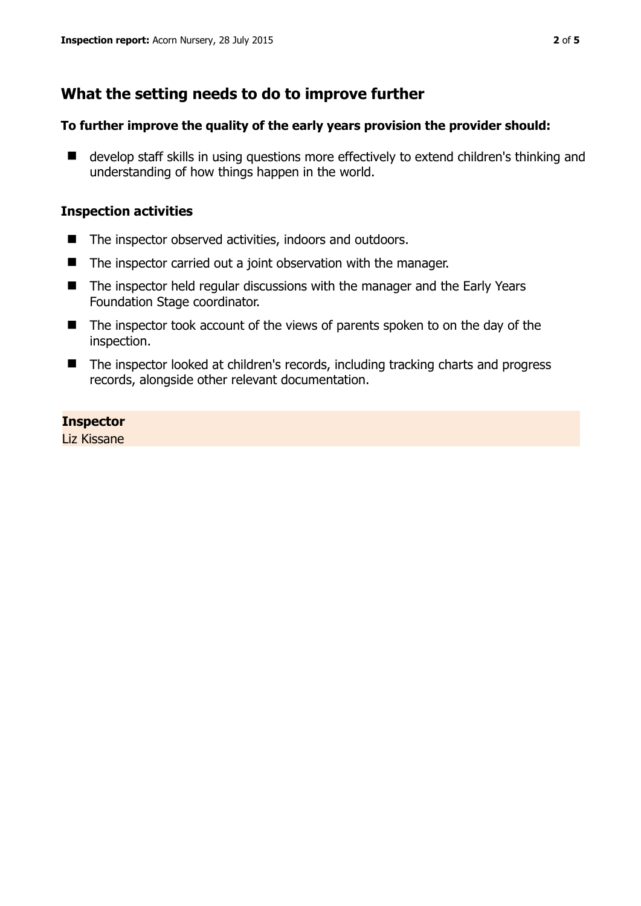# **What the setting needs to do to improve further**

#### **To further improve the quality of the early years provision the provider should:**

■ develop staff skills in using questions more effectively to extend children's thinking and understanding of how things happen in the world.

#### **Inspection activities**

- The inspector observed activities, indoors and outdoors.
- The inspector carried out a joint observation with the manager.
- The inspector held regular discussions with the manager and the Early Years Foundation Stage coordinator.
- The inspector took account of the views of parents spoken to on the day of the inspection.
- The inspector looked at children's records, including tracking charts and progress records, alongside other relevant documentation.

#### **Inspector**

Liz Kissane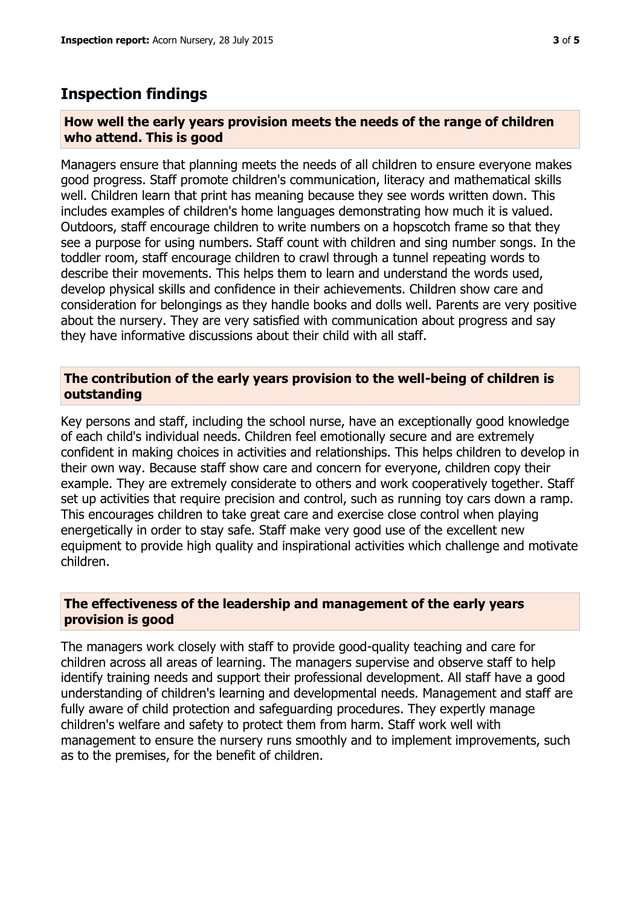## **Inspection findings**

#### **How well the early years provision meets the needs of the range of children who attend. This is good**

Managers ensure that planning meets the needs of all children to ensure everyone makes good progress. Staff promote children's communication, literacy and mathematical skills well. Children learn that print has meaning because they see words written down. This includes examples of children's home languages demonstrating how much it is valued. Outdoors, staff encourage children to write numbers on a hopscotch frame so that they see a purpose for using numbers. Staff count with children and sing number songs. In the toddler room, staff encourage children to crawl through a tunnel repeating words to describe their movements. This helps them to learn and understand the words used, develop physical skills and confidence in their achievements. Children show care and consideration for belongings as they handle books and dolls well. Parents are very positive about the nursery. They are very satisfied with communication about progress and say they have informative discussions about their child with all staff.

#### **The contribution of the early years provision to the well-being of children is outstanding**

Key persons and staff, including the school nurse, have an exceptionally good knowledge of each child's individual needs. Children feel emotionally secure and are extremely confident in making choices in activities and relationships. This helps children to develop in their own way. Because staff show care and concern for everyone, children copy their example. They are extremely considerate to others and work cooperatively together. Staff set up activities that require precision and control, such as running toy cars down a ramp. This encourages children to take great care and exercise close control when playing energetically in order to stay safe. Staff make very good use of the excellent new equipment to provide high quality and inspirational activities which challenge and motivate children.

#### **The effectiveness of the leadership and management of the early years provision is good**

The managers work closely with staff to provide good-quality teaching and care for children across all areas of learning. The managers supervise and observe staff to help identify training needs and support their professional development. All staff have a good understanding of children's learning and developmental needs. Management and staff are fully aware of child protection and safeguarding procedures. They expertly manage children's welfare and safety to protect them from harm. Staff work well with management to ensure the nursery runs smoothly and to implement improvements, such as to the premises, for the benefit of children.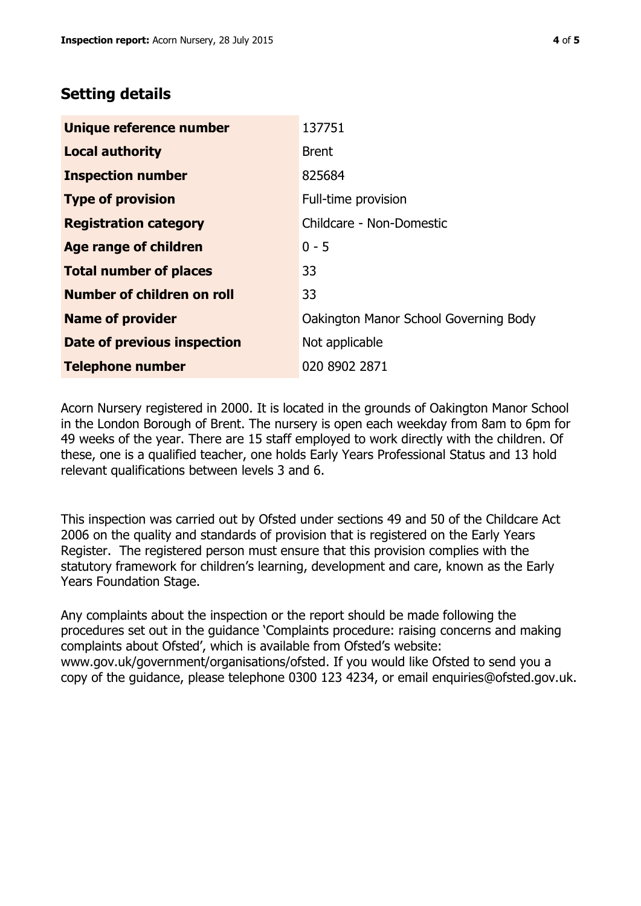## **Setting details**

| Unique reference number       | 137751                                |  |
|-------------------------------|---------------------------------------|--|
| <b>Local authority</b>        | <b>Brent</b>                          |  |
| <b>Inspection number</b>      | 825684                                |  |
| <b>Type of provision</b>      | Full-time provision                   |  |
| <b>Registration category</b>  | Childcare - Non-Domestic              |  |
| Age range of children         | $0 - 5$                               |  |
| <b>Total number of places</b> | 33                                    |  |
| Number of children on roll    | 33                                    |  |
| <b>Name of provider</b>       | Oakington Manor School Governing Body |  |
| Date of previous inspection   | Not applicable                        |  |
| <b>Telephone number</b>       | 020 8902 2871                         |  |

Acorn Nursery registered in 2000. It is located in the grounds of Oakington Manor School in the London Borough of Brent. The nursery is open each weekday from 8am to 6pm for 49 weeks of the year. There are 15 staff employed to work directly with the children. Of these, one is a qualified teacher, one holds Early Years Professional Status and 13 hold relevant qualifications between levels 3 and 6.

This inspection was carried out by Ofsted under sections 49 and 50 of the Childcare Act 2006 on the quality and standards of provision that is registered on the Early Years Register. The registered person must ensure that this provision complies with the statutory framework for children's learning, development and care, known as the Early Years Foundation Stage.

Any complaints about the inspection or the report should be made following the procedures set out in the guidance 'Complaints procedure: raising concerns and making complaints about Ofsted', which is available from Ofsted's website: www.gov.uk/government/organisations/ofsted. If you would like Ofsted to send you a copy of the guidance, please telephone 0300 123 4234, or email enquiries@ofsted.gov.uk.